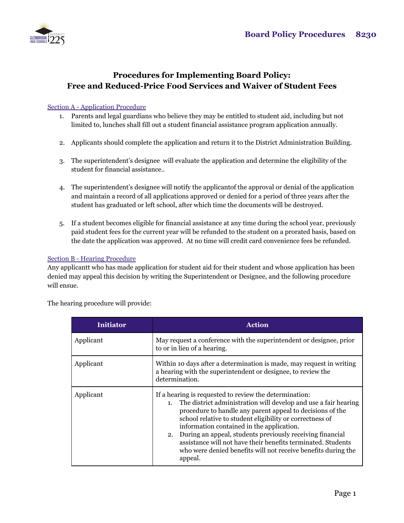

# **Procedures for Implementing Board Policy: Free and Reduced-Price Food Services and Waiver of Student Fees**

## Section A - Application Procedure

- 1. Parents and legal guardians who believe they may be entitled to student aid, including but not limited to, lunches shall fill out a student financial assistance program application annually.
- 2. Applicants should complete the application and return it to the District Administration Building.
- 3. The superintendent's designee will evaluate the application and determine the eligibility of the student for financial assistance..
- 4. The superintendent's designee will notify the applicantof the approval or denial of the application and maintain a record of all applications approved or denied for a period of three years after the student has graduated or left school, after which time the documents will be destroyed.
- 5. If a student becomes eligible for financial assistance at any time during the school year, previously paid student fees for the current year will be refunded to the student on a prorated basis, based on the date the application was approved. At no time will credit card convenience fees be refunded.

### Section B - Hearing Procedure

Any applicantt who has made application for student aid for their student and whose application has been denied may appeal this decision by writing the Superintendent or Designee, and the following procedure will ensue.

| The hearing procedure will provide: |
|-------------------------------------|
|-------------------------------------|

| <b>Initiator</b> | <b>Action</b>                                                                                                                                                                                                                                                                                                                                                                                                                                                                                                  |  |
|------------------|----------------------------------------------------------------------------------------------------------------------------------------------------------------------------------------------------------------------------------------------------------------------------------------------------------------------------------------------------------------------------------------------------------------------------------------------------------------------------------------------------------------|--|
| Applicant        | May request a conference with the superintendent or designee, prior<br>to or in lieu of a hearing.                                                                                                                                                                                                                                                                                                                                                                                                             |  |
| Applicant        | Within 10 days after a determination is made, may request in writing<br>a hearing with the superintendent or designee, to review the<br>determination.                                                                                                                                                                                                                                                                                                                                                         |  |
| Applicant        | If a hearing is requested to review the determination:<br>1. The district administration will develop and use a fair hearing<br>procedure to handle any parent appeal to decisions of the<br>school relative to student eligibility or correctness of<br>information contained in the application.<br>2. During an appeal, students previously receiving financial<br>assistance will not have their benefits terminated. Students<br>who were denied benefits will not receive benefits during the<br>appeal. |  |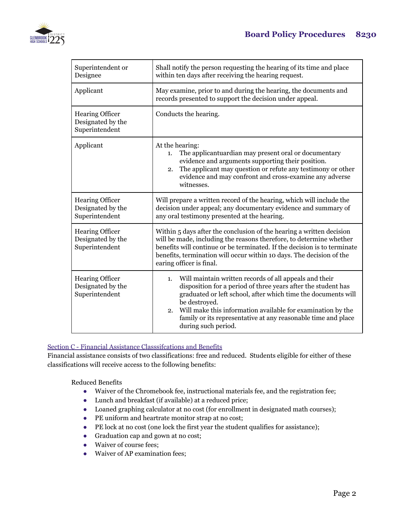

| Superintendent or<br>Designee                                 | Shall notify the person requesting the hearing of its time and place<br>within ten days after receiving the hearing request.                                                                                                                                                                                                                                                 |  |
|---------------------------------------------------------------|------------------------------------------------------------------------------------------------------------------------------------------------------------------------------------------------------------------------------------------------------------------------------------------------------------------------------------------------------------------------------|--|
| Applicant                                                     | May examine, prior to and during the hearing, the documents and<br>records presented to support the decision under appeal.                                                                                                                                                                                                                                                   |  |
| <b>Hearing Officer</b><br>Designated by the<br>Superintendent | Conducts the hearing.                                                                                                                                                                                                                                                                                                                                                        |  |
| Applicant                                                     | At the hearing:<br>The applicantuardian may present oral or documentary<br>1.<br>evidence and arguments supporting their position.<br>The applicant may question or refute any testimony or other<br>2.<br>evidence and may confront and cross-examine any adverse<br>witnesses.                                                                                             |  |
| Hearing Officer<br>Designated by the<br>Superintendent        | Will prepare a written record of the hearing, which will include the<br>decision under appeal; any documentary evidence and summary of<br>any oral testimony presented at the hearing.                                                                                                                                                                                       |  |
| <b>Hearing Officer</b><br>Designated by the<br>Superintendent | Within 5 days after the conclusion of the hearing a written decision<br>will be made, including the reasons therefore, to determine whether<br>benefits will continue or be terminated. If the decision is to terminate<br>benefits, termination will occur within 10 days. The decision of the<br>earing officer is final.                                                  |  |
| <b>Hearing Officer</b><br>Designated by the<br>Superintendent | Will maintain written records of all appeals and their<br>1.<br>disposition for a period of three years after the student has<br>graduated or left school, after which time the documents will<br>be destroyed.<br>Will make this information available for examination by the<br>2.<br>family or its representative at any reasonable time and place<br>during such period. |  |

## Section C - Financial Assistance Classsifcations and Benefits

Financial assistance consists of two classifications: free and reduced. Students eligible for either of these classifications will receive access to the following benefits:

Reduced Benefits

- Waiver of the Chromebook fee, instructional materials fee, and the registration fee;
- Lunch and breakfast (if available) at a reduced price;
- Loaned graphing calculator at no cost (for enrollment in designated math courses);
- PE uniform and heartrate monitor strap at no cost;
- PE lock at no cost (one lock the first year the student qualifies for assistance);
- Graduation cap and gown at no cost;
- Waiver of course fees;
- Waiver of AP examination fees;